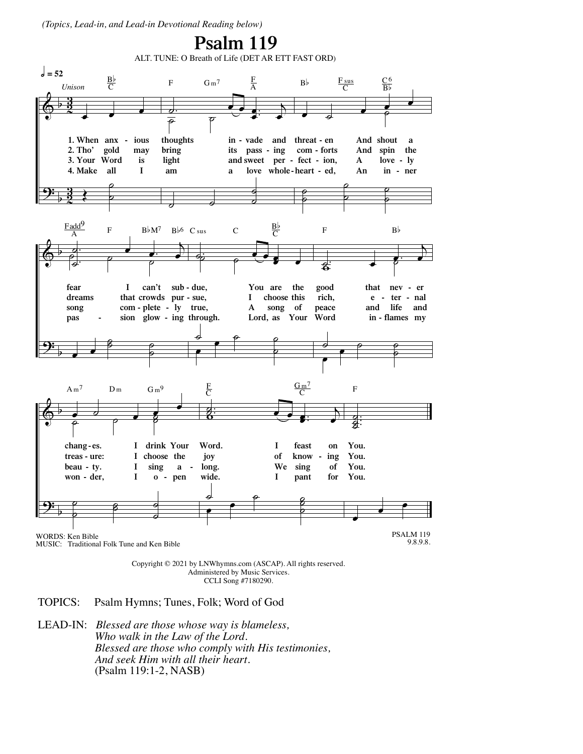(Topics, Lead-in, and Lead-in Devotional Reading below)



Copyright © 2021 by LNWhymns.com (ASCAP). All rights reserved. Administered by Music Services. CCLI Song #7180290.

- TOPICS: Psalm Hymns; Tunes, Folk; Word of God
- **LEAD-IN:** Blessed are those whose way is blameless, Who walk in the Law of the Lord. Blessed are those who comply with His testimonies, And seek Him with all their heart. (Psalm 119:1-2, NASB)